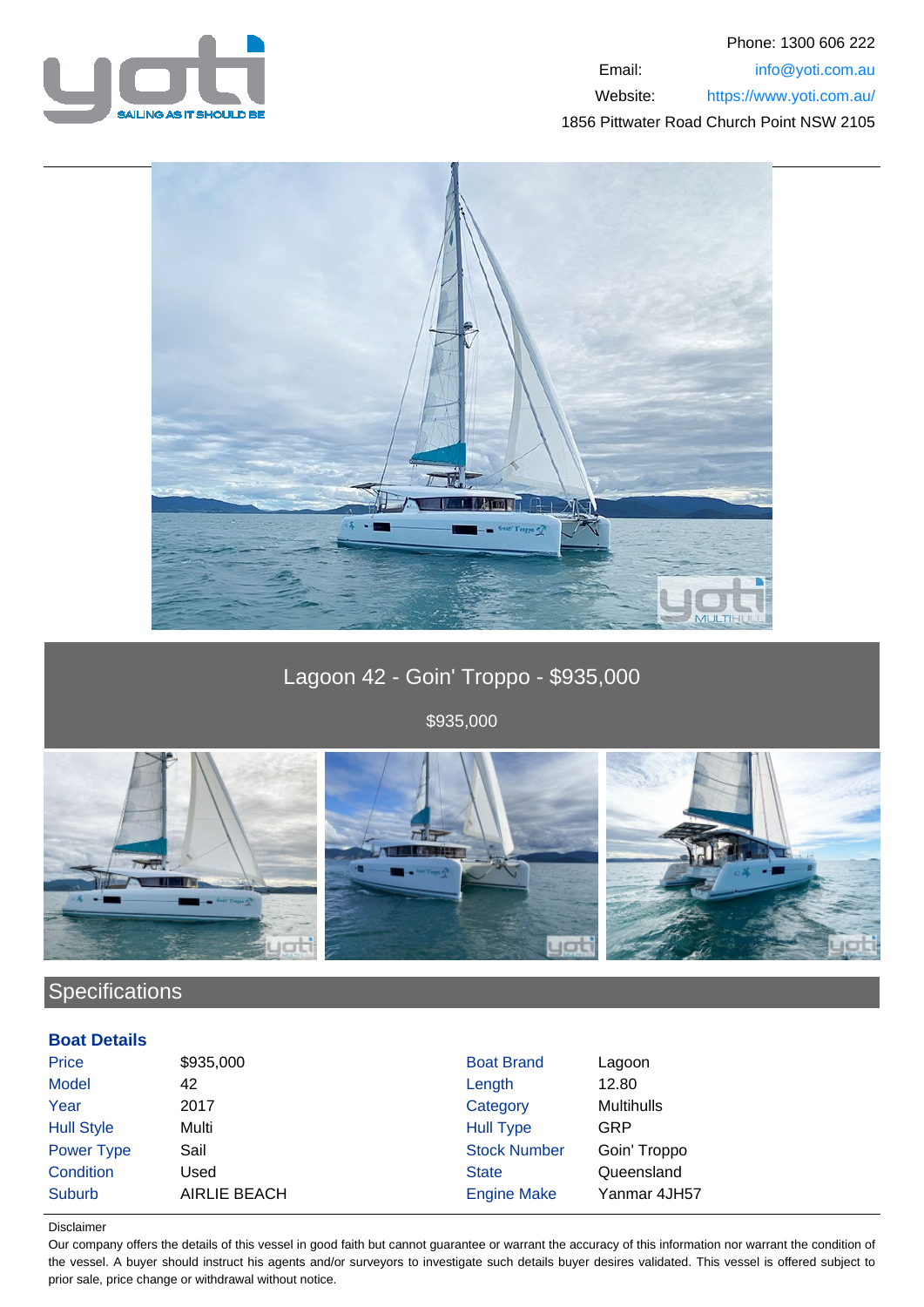



# Lagoon 42 - Goin' Troppo - \$935,000

\$935,000



## **Specifications**

### **Boat Details**

| \$935,000           | <b>Boat Brand</b>   | Lagoon            |
|---------------------|---------------------|-------------------|
| 42                  | Length              | 12.80             |
| 2017                | Category            | <b>Multihulls</b> |
| Multi               | <b>Hull Type</b>    | GRP               |
| Sail                | <b>Stock Number</b> | Goin' Troppo      |
| Used                | <b>State</b>        | Queensland        |
| <b>AIRLIE BEACH</b> | <b>Engine Make</b>  | Yanmar 4JH57      |
|                     |                     |                   |

#### Disclaimer

Our company offers the details of this vessel in good faith but cannot guarantee or warrant the accuracy of this information nor warrant the condition of the vessel. A buyer should instruct his agents and/or surveyors to investigate such details buyer desires validated. This vessel is offered subject to prior sale, price change or withdrawal without notice.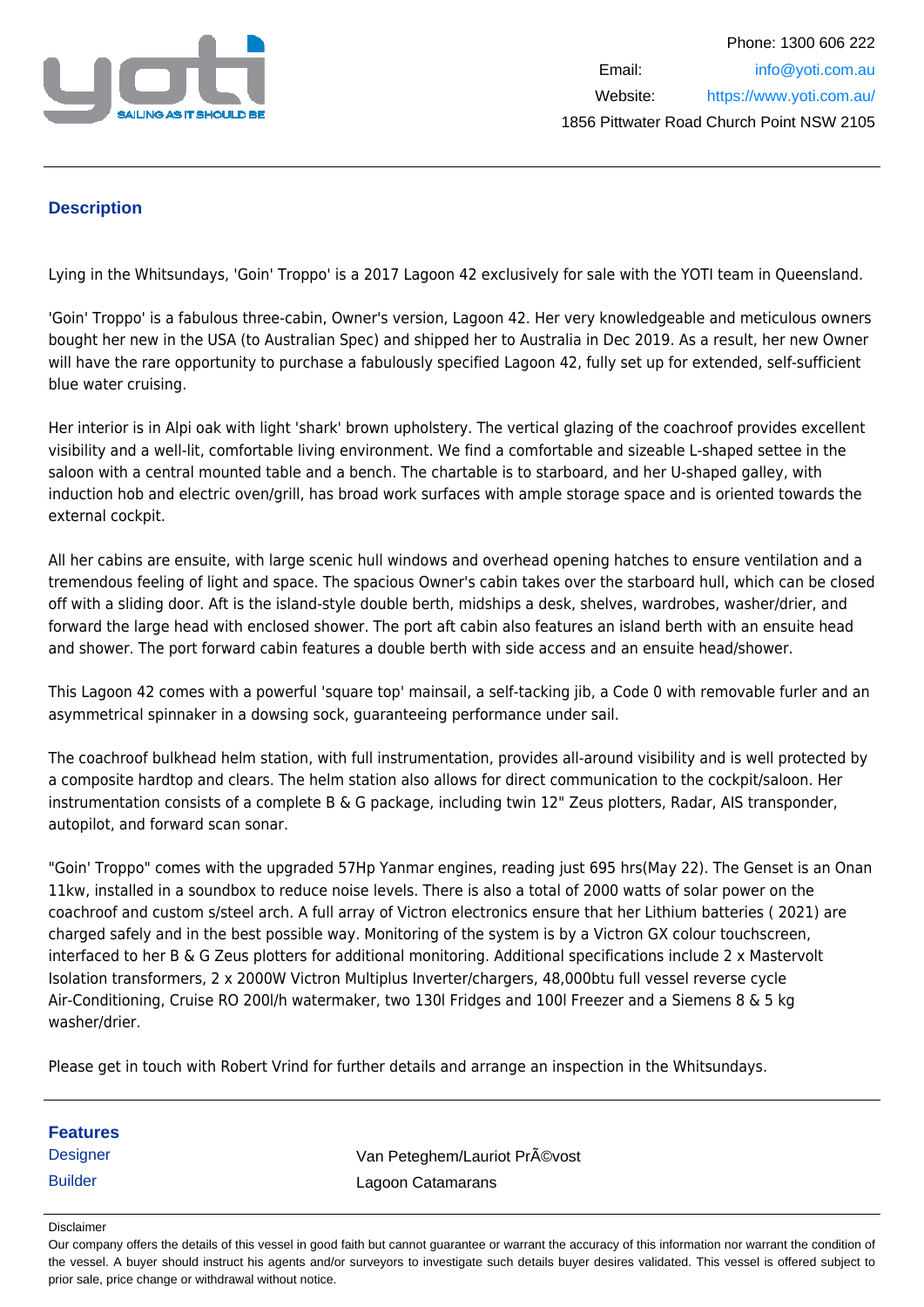

### **Description**

Lying in the Whitsundays, 'Goin' Troppo' is a 2017 Lagoon 42 exclusively for sale with the YOTI team in Queensland.

'Goin' Troppo' is a fabulous three-cabin, Owner's version, Lagoon 42. Her very knowledgeable and meticulous owners bought her new in the USA (to Australian Spec) and shipped her to Australia in Dec 2019. As a result, her new Owner will have the rare opportunity to purchase a fabulously specified Lagoon 42, fully set up for extended, self-sufficient blue water cruising.

Her interior is in Alpi oak with light 'shark' brown upholstery. The vertical glazing of the coachroof provides excellent visibility and a well-lit, comfortable living environment. We find a comfortable and sizeable L-shaped settee in the saloon with a central mounted table and a bench. The chartable is to starboard, and her U-shaped galley, with induction hob and electric oven/grill, has broad work surfaces with ample storage space and is oriented towards the external cockpit.

All her cabins are ensuite, with large scenic hull windows and overhead opening hatches to ensure ventilation and a tremendous feeling of light and space. The spacious Owner's cabin takes over the starboard hull, which can be closed off with a sliding door. Aft is the island-style double berth, midships a desk, shelves, wardrobes, washer/drier, and forward the large head with enclosed shower. The port aft cabin also features an island berth with an ensuite head and shower. The port forward cabin features a double berth with side access and an ensuite head/shower.

This Lagoon 42 comes with a powerful 'square top' mainsail, a self-tacking jib, a Code 0 with removable furler and an asymmetrical spinnaker in a dowsing sock, guaranteeing performance under sail.

The coachroof bulkhead helm station, with full instrumentation, provides all-around visibility and is well protected by a composite hardtop and clears. The helm station also allows for direct communication to the cockpit/saloon. Her instrumentation consists of a complete B & G package, including twin 12" Zeus plotters, Radar, AIS transponder, autopilot, and forward scan sonar.

"Goin' Troppo" comes with the upgraded 57Hp Yanmar engines, reading just 695 hrs(May 22). The Genset is an Onan 11kw, installed in a soundbox to reduce noise levels. There is also a total of 2000 watts of solar power on the coachroof and custom s/steel arch. A full array of Victron electronics ensure that her Lithium batteries ( 2021) are charged safely and in the best possible way. Monitoring of the system is by a Victron GX colour touchscreen, interfaced to her B & G Zeus plotters for additional monitoring. Additional specifications include 2 x Mastervolt Isolation transformers, 2 x 2000W Victron Multiplus Inverter/chargers, 48,000btu full vessel reverse cycle Air-Conditioning, Cruise RO 200l/h watermaker, two 130l Fridges and 100l Freezer and a Siemens 8 & 5 kg washer/drier.

Please get in touch with Robert Vrind for further details and arrange an inspection in the Whitsundays.

Disclaimer

Our company offers the details of this vessel in good faith but cannot guarantee or warrant the accuracy of this information nor warrant the condition of the vessel. A buyer should instruct his agents and/or surveyors to investigate such details buyer desires validated. This vessel is offered subject to prior sale, price change or withdrawal without notice.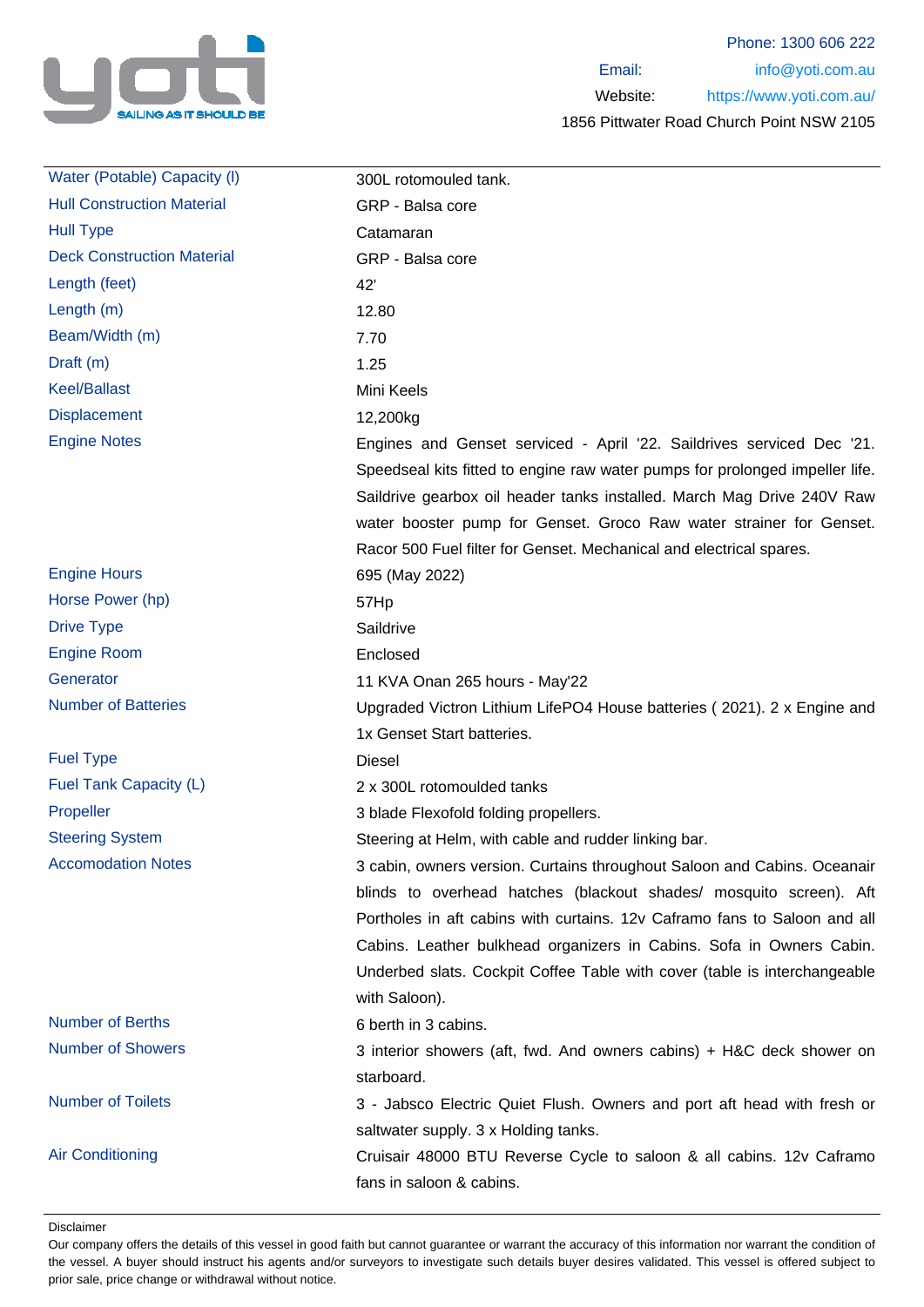

Phone: 1300 606 222 Email: info@yoti.com.au Website: https://www.yoti.com.au/ 1856 Pittwater Road Church Point NSW 2105

| Water (Potable) Capacity (I)      | 300L rotomouled tank.                                                        |
|-----------------------------------|------------------------------------------------------------------------------|
| <b>Hull Construction Material</b> | GRP - Balsa core                                                             |
| <b>Hull Type</b>                  | Catamaran                                                                    |
| <b>Deck Construction Material</b> | GRP - Balsa core                                                             |
| Length (feet)                     | 42'                                                                          |
| Length $(m)$                      | 12.80                                                                        |
| Beam/Width (m)                    | 7.70                                                                         |
| Draft (m)                         | 1.25                                                                         |
| <b>Keel/Ballast</b>               | Mini Keels                                                                   |
| <b>Displacement</b>               | 12,200kg                                                                     |
| <b>Engine Notes</b>               | Engines and Genset serviced - April '22. Saildrives serviced Dec '21.        |
|                                   | Speedseal kits fitted to engine raw water pumps for prolonged impeller life. |
|                                   | Saildrive gearbox oil header tanks installed. March Mag Drive 240V Raw       |
|                                   | water booster pump for Genset. Groco Raw water strainer for Genset.          |
|                                   | Racor 500 Fuel filter for Genset. Mechanical and electrical spares.          |
| <b>Engine Hours</b>               | 695 (May 2022)                                                               |
| Horse Power (hp)                  | 57Hp                                                                         |
| <b>Drive Type</b>                 | Saildrive                                                                    |
| <b>Engine Room</b>                | Enclosed                                                                     |
| Generator                         | 11 KVA Onan 265 hours - May'22                                               |
| <b>Number of Batteries</b>        | Upgraded Victron Lithium LifePO4 House batteries (2021). 2 x Engine and      |
|                                   | 1x Genset Start batteries.                                                   |
| <b>Fuel Type</b>                  | <b>Diesel</b>                                                                |
| Fuel Tank Capacity (L)            | 2 x 300L rotomoulded tanks                                                   |
| Propeller                         | 3 blade Flexofold folding propellers.                                        |
| <b>Steering System</b>            | Steering at Helm, with cable and rudder linking bar.                         |
| <b>Accomodation Notes</b>         | 3 cabin, owners version. Curtains throughout Saloon and Cabins. Oceanair     |
|                                   | blinds to overhead hatches (blackout shades/ mosquito screen). Aft           |
|                                   | Portholes in aft cabins with curtains. 12v Caframo fans to Saloon and all    |
|                                   | Cabins. Leather bulkhead organizers in Cabins. Sofa in Owners Cabin.         |
|                                   | Underbed slats. Cockpit Coffee Table with cover (table is interchangeable    |
|                                   | with Saloon).                                                                |
| <b>Number of Berths</b>           | 6 berth in 3 cabins.                                                         |
| <b>Number of Showers</b>          | 3 interior showers (aft, fwd. And owners cabins) + H&C deck shower on        |
|                                   | starboard.                                                                   |
| <b>Number of Toilets</b>          | 3 - Jabsco Electric Quiet Flush. Owners and port aft head with fresh or      |
|                                   | saltwater supply. 3 x Holding tanks.                                         |
| <b>Air Conditioning</b>           | Cruisair 48000 BTU Reverse Cycle to saloon & all cabins. 12v Caframo         |
|                                   | fans in saloon & cabins.                                                     |

Disclaimer

Our company offers the details of this vessel in good faith but cannot guarantee or warrant the accuracy of this information nor warrant the condition of the vessel. A buyer should instruct his agents and/or surveyors to investigate such details buyer desires validated. This vessel is offered subject to prior sale, price change or withdrawal without notice.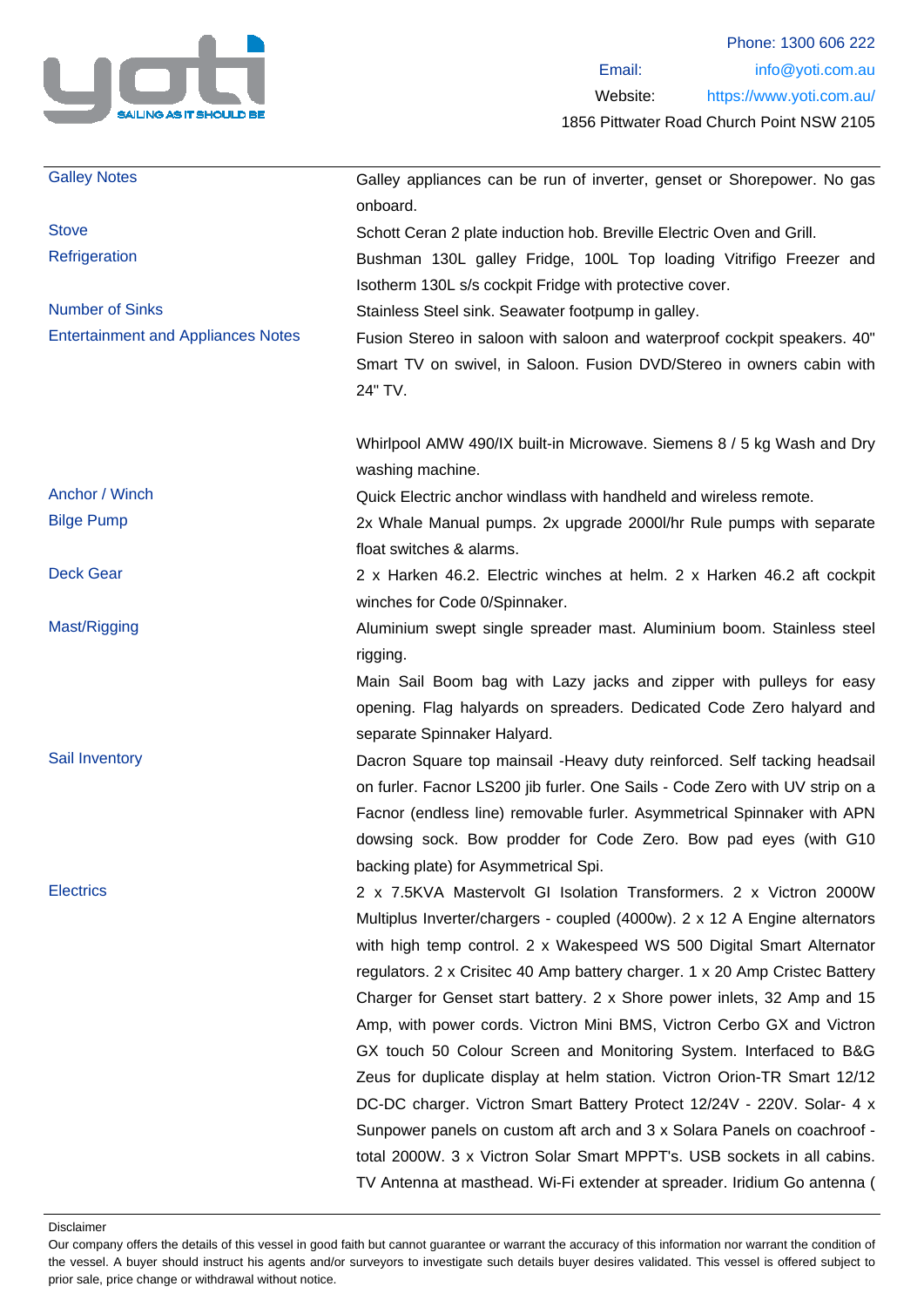

| <b>Galley Notes</b>                       | Galley appliances can be run of inverter, genset or Shorepower. No gas<br>onboard.                      |
|-------------------------------------------|---------------------------------------------------------------------------------------------------------|
| <b>Stove</b>                              | Schott Ceran 2 plate induction hob. Breville Electric Oven and Grill.                                   |
| Refrigeration                             | Bushman 130L galley Fridge, 100L Top loading Vitrifigo Freezer and                                      |
|                                           | Isotherm 130L s/s cockpit Fridge with protective cover.                                                 |
| <b>Number of Sinks</b>                    | Stainless Steel sink. Seawater footpump in galley.                                                      |
| <b>Entertainment and Appliances Notes</b> | Fusion Stereo in saloon with saloon and waterproof cockpit speakers. 40"                                |
|                                           | Smart TV on swivel, in Saloon. Fusion DVD/Stereo in owners cabin with                                   |
|                                           | 24" TV.                                                                                                 |
|                                           | Whirlpool AMW 490/IX built-in Microwave. Siemens 8 / 5 kg Wash and Dry<br>washing machine.              |
| Anchor / Winch                            | Quick Electric anchor windlass with handheld and wireless remote.                                       |
| <b>Bilge Pump</b>                         | 2x Whale Manual pumps. 2x upgrade 2000l/hr Rule pumps with separate<br>float switches & alarms.         |
| <b>Deck Gear</b>                          | 2 x Harken 46.2. Electric winches at helm. 2 x Harken 46.2 aft cockpit<br>winches for Code 0/Spinnaker. |
| Mast/Rigging                              | Aluminium swept single spreader mast. Aluminium boom. Stainless steel                                   |
|                                           | rigging.                                                                                                |
|                                           | Main Sail Boom bag with Lazy jacks and zipper with pulleys for easy                                     |
|                                           | opening. Flag halyards on spreaders. Dedicated Code Zero halyard and                                    |
|                                           | separate Spinnaker Halyard.                                                                             |
| Sail Inventory                            | Dacron Square top mainsail - Heavy duty reinforced. Self tacking headsail                               |
|                                           | on furler. Facnor LS200 jib furler. One Sails - Code Zero with UV strip on a                            |
|                                           | Facnor (endless line) removable furler. Asymmetrical Spinnaker with APN                                 |
|                                           | dowsing sock. Bow prodder for Code Zero. Bow pad eyes (with G10                                         |
|                                           | backing plate) for Asymmetrical Spi.                                                                    |
| <b>Electrics</b>                          | 2 x 7.5KVA Mastervolt GI Isolation Transformers. 2 x Victron 2000W                                      |
|                                           | Multiplus Inverter/chargers - coupled (4000w). 2 x 12 A Engine alternators                              |
|                                           | with high temp control. 2 x Wakespeed WS 500 Digital Smart Alternator                                   |
|                                           | regulators. 2 x Crisitec 40 Amp battery charger. 1 x 20 Amp Cristec Battery                             |
|                                           | Charger for Genset start battery. 2 x Shore power inlets, 32 Amp and 15                                 |
|                                           | Amp, with power cords. Victron Mini BMS, Victron Cerbo GX and Victron                                   |
|                                           | GX touch 50 Colour Screen and Monitoring System. Interfaced to B&G                                      |
|                                           | Zeus for duplicate display at helm station. Victron Orion-TR Smart 12/12                                |
|                                           | DC-DC charger. Victron Smart Battery Protect 12/24V - 220V. Solar- 4 x                                  |
|                                           | Sunpower panels on custom aft arch and 3 x Solara Panels on coachroof -                                 |
|                                           | total 2000W. 3 x Victron Solar Smart MPPT's. USB sockets in all cabins.                                 |
|                                           | TV Antenna at masthead. Wi-Fi extender at spreader. Iridium Go antenna (                                |

Disclaimer

Our company offers the details of this vessel in good faith but cannot guarantee or warrant the accuracy of this information nor warrant the condition of the vessel. A buyer should instruct his agents and/or surveyors to investigate such details buyer desires validated. This vessel is offered subject to prior sale, price change or withdrawal without notice.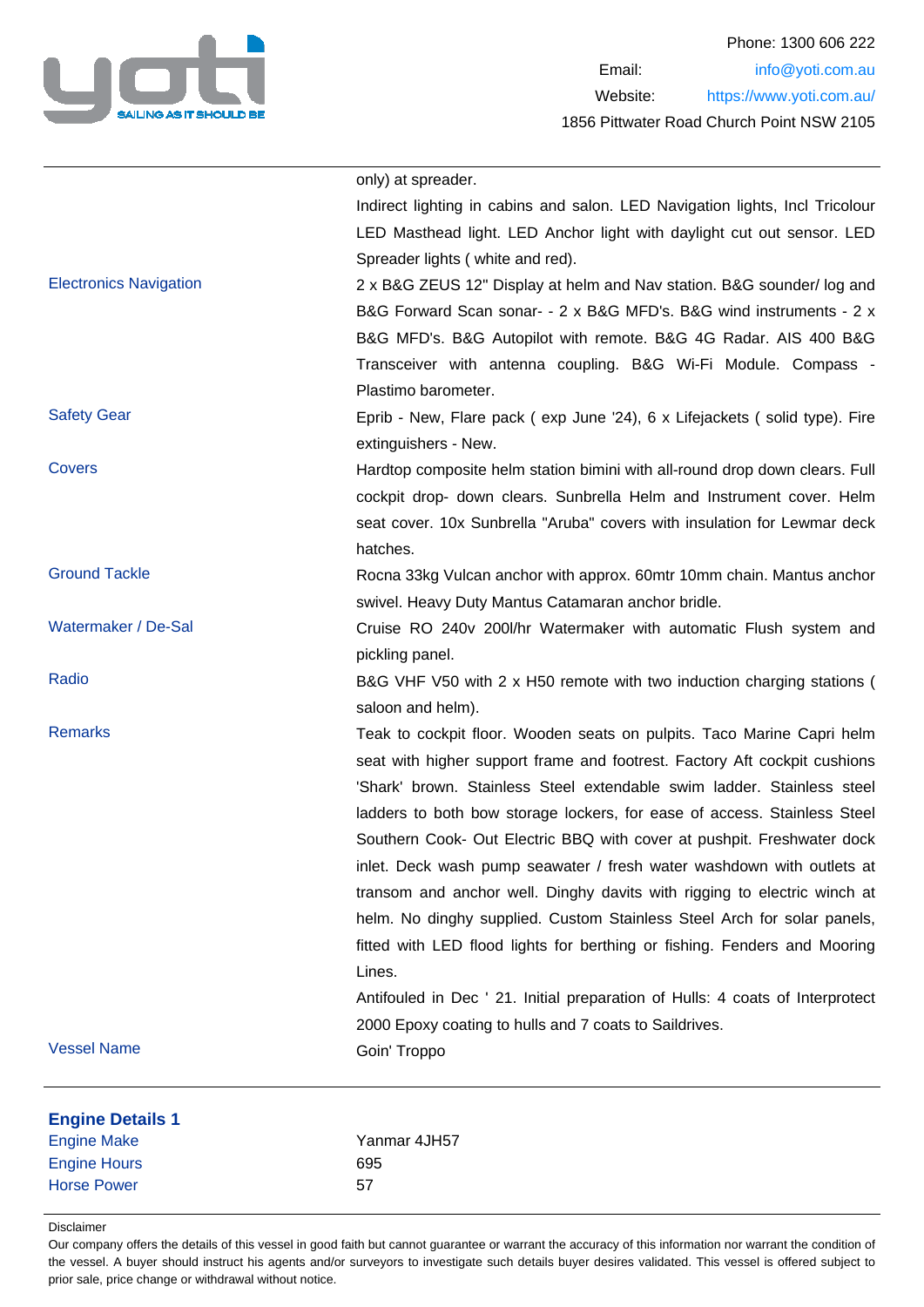

| <b>Vessel Name</b>            | Goin' Troppo                                                                                                            |
|-------------------------------|-------------------------------------------------------------------------------------------------------------------------|
|                               | 2000 Epoxy coating to hulls and 7 coats to Saildrives.                                                                  |
|                               | Antifouled in Dec ' 21. Initial preparation of Hulls: 4 coats of Interprotect                                           |
|                               | fitted with LED flood lights for berthing or fishing. Fenders and Mooring<br>Lines.                                     |
|                               | helm. No dinghy supplied. Custom Stainless Steel Arch for solar panels,                                                 |
|                               | transom and anchor well. Dinghy davits with rigging to electric winch at                                                |
|                               | inlet. Deck wash pump seawater / fresh water washdown with outlets at                                                   |
|                               | Southern Cook- Out Electric BBQ with cover at pushpit. Freshwater dock                                                  |
|                               | ladders to both bow storage lockers, for ease of access. Stainless Steel                                                |
|                               | 'Shark' brown. Stainless Steel extendable swim ladder. Stainless steel                                                  |
|                               | seat with higher support frame and footrest. Factory Aft cockpit cushions                                               |
| <b>Remarks</b>                | Teak to cockpit floor. Wooden seats on pulpits. Taco Marine Capri helm                                                  |
|                               | saloon and helm).                                                                                                       |
|                               | B&G VHF V50 with 2 x H50 remote with two induction charging stations (                                                  |
| Radio                         | pickling panel.                                                                                                         |
|                               |                                                                                                                         |
| Watermaker / De-Sal           | swivel. Heavy Duty Mantus Catamaran anchor bridle.<br>Cruise RO 240v 200l/hr Watermaker with automatic Flush system and |
|                               | Rocna 33kg Vulcan anchor with approx. 60mtr 10mm chain. Mantus anchor                                                   |
| <b>Ground Tackle</b>          | hatches.                                                                                                                |
|                               | seat cover. 10x Sunbrella "Aruba" covers with insulation for Lewmar deck                                                |
|                               | cockpit drop- down clears. Sunbrella Helm and Instrument cover. Helm                                                    |
|                               | Hardtop composite helm station bimini with all-round drop down clears. Full                                             |
| <b>Covers</b>                 | extinguishers - New.                                                                                                    |
| <b>Safety Gear</b>            | Eprib - New, Flare pack (exp June '24), 6 x Lifejackets (solid type). Fire                                              |
|                               | Plastimo barometer.                                                                                                     |
|                               | Transceiver with antenna coupling. B&G Wi-Fi Module. Compass -                                                          |
|                               | B&G MFD's. B&G Autopilot with remote. B&G 4G Radar. AIS 400 B&G                                                         |
|                               | B&G Forward Scan sonar- - 2 x B&G MFD's. B&G wind instruments - 2 x                                                     |
| <b>Electronics Navigation</b> | 2 x B&G ZEUS 12" Display at helm and Nav station. B&G sounder/log and                                                   |
|                               | Spreader lights (white and red).                                                                                        |
|                               | LED Masthead light. LED Anchor light with daylight cut out sensor. LED                                                  |
|                               | Indirect lighting in cabins and salon. LED Navigation lights, Incl Tricolour                                            |
|                               | only) at spreader.                                                                                                      |
|                               |                                                                                                                         |

Disclaimer

Our company offers the details of this vessel in good faith but cannot guarantee or warrant the accuracy of this information nor warrant the condition of the vessel. A buyer should instruct his agents and/or surveyors to investigate such details buyer desires validated. This vessel is offered subject to prior sale, price change or withdrawal without notice.